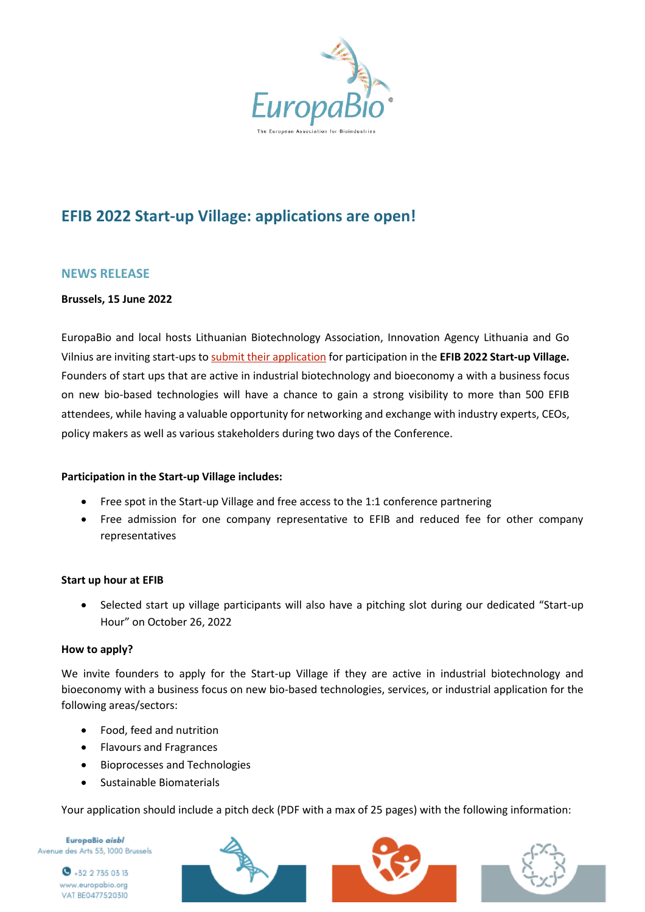

# **EFIB 2022 Start-up Village: applications are open!**

# **NEWS RELEASE**

#### **Brussels, 15 June 2022**

EuropaBio and local hosts Lithuanian Biotechnology Association, Innovation Agency Lithuania and Go Vilnius are inviting start-ups t[o submit their application](https://efibforum.com/programme/start-up-village/) for participation in the **EFIB 2022 Start-up Village.** Founders of start ups that are active in industrial biotechnology and bioeconomy a with a business focus on new bio-based technologies will have a chance to gain a strong visibility to more than 500 EFIB attendees, while having a valuable opportunity for networking and exchange with industry experts, CEOs, policy makers as well as various stakeholders during two days of the Conference.

## **Participation in the Start-up Village includes:**

- Free spot in the Start-up Village and free access to the 1:1 conference partnering
- Free admission for one company representative to EFIB and reduced fee for other company representatives

#### **Start up hour at EFIB**

• Selected start up village participants will also have a pitching slot during our dedicated "Start-up Hour" on October 26, 2022

#### **How to apply?**

We invite founders to apply for the Start-up Village if they are active in industrial biotechnology and bioeconomy with a business focus on new bio-based technologies, services, or industrial application for the following areas/sectors:

- Food, feed and nutrition
- Flavours and Fragrances
- Bioprocesses and Technologies
- Sustainable Biomaterials

Your application should include a pitch deck (PDF with a max of 25 pages) with the following information:

EuropaBio aisbl Avenue des Arts 53, 1000 Brussels





 $\bullet$  +32 2 735 03 13 www.europabio.org VAT BE0477520310